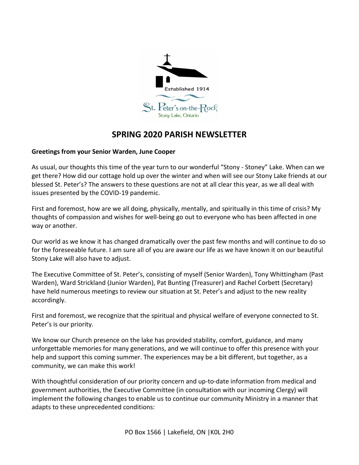

## SPRING 2020 PARISH NEWSLETTER

## Greetings from your Senior Warden, June Cooper

As usual, our thoughts this time of the year turn to our wonderful "Stony - Stoney" Lake. When can we get there? How did our cottage hold up over the winter and when will see our Stony Lake friends at our blessed St. Peter's? The answers to these questions are not at all clear this year, as we all deal with issues presented by the COVID-19 pandemic.

First and foremost, how are we all doing, physically, mentally, and spiritually in this time of crisis? My thoughts of compassion and wishes for well-being go out to everyone who has been affected in one way or another.

Our world as we know it has changed dramatically over the past few months and will continue to do so for the foreseeable future. I am sure all of you are aware our life as we have known it on our beautiful Stony Lake will also have to adjust.

The Executive Committee of St. Peter's, consisting of myself (Senior Warden), Tony Whittingham (Past Warden), Ward Strickland (Junior Warden), Pat Bunting (Treasurer) and Rachel Corbett (Secretary) have held numerous meetings to review our situation at St. Peter's and adjust to the new reality accordingly.

First and foremost, we recognize that the spiritual and physical welfare of everyone connected to St. Peter's is our priority.

We know our Church presence on the lake has provided stability, comfort, guidance, and many unforgettable memories for many generations, and we will continue to offer this presence with your help and support this coming summer. The experiences may be a bit different, but together, as a community, we can make this work!

With thoughtful consideration of our priority concern and up-to-date information from medical and government authorities, the Executive Committee (in consultation with our incoming Clergy) will implement the following changes to enable us to continue our community Ministry in a manner that adapts to these unprecedented conditions: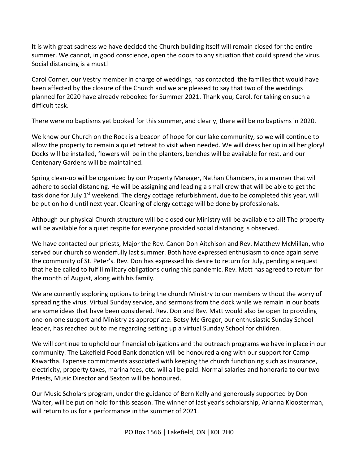It is with great sadness we have decided the Church building itself will remain closed for the entire summer. We cannot, in good conscience, open the doors to any situation that could spread the virus. Social distancing is a must!

Carol Corner, our Vestry member in charge of weddings, has contacted the families that would have been affected by the closure of the Church and we are pleased to say that two of the weddings planned for 2020 have already rebooked for Summer 2021. Thank you, Carol, for taking on such a difficult task.

There were no baptisms yet booked for this summer, and clearly, there will be no baptisms in 2020.

We know our Church on the Rock is a beacon of hope for our lake community, so we will continue to allow the property to remain a quiet retreat to visit when needed. We will dress her up in all her glory! Docks will be installed, flowers will be in the planters, benches will be available for rest, and our Centenary Gardens will be maintained.

Spring clean-up will be organized by our Property Manager, Nathan Chambers, in a manner that will adhere to social distancing. He will be assigning and leading a small crew that will be able to get the task done for July 1<sup>st</sup> weekend. The clergy cottage refurbishment, due to be completed this year, will be put on hold until next year. Cleaning of clergy cottage will be done by professionals.

Although our physical Church structure will be closed our Ministry will be available to all! The property will be available for a quiet respite for everyone provided social distancing is observed.

We have contacted our priests, Major the Rev. Canon Don Aitchison and Rev. Matthew McMillan, who served our church so wonderfully last summer. Both have expressed enthusiasm to once again serve the community of St. Peter's. Rev. Don has expressed his desire to return for July, pending a request that he be called to fulfill military obligations during this pandemic. Rev. Matt has agreed to return for the month of August, along with his family.

We are currently exploring options to bring the church Ministry to our members without the worry of spreading the virus. Virtual Sunday service, and sermons from the dock while we remain in our boats are some ideas that have been considered. Rev. Don and Rev. Matt would also be open to providing one-on-one support and Ministry as appropriate. Betsy Mc Gregor, our enthusiastic Sunday School leader, has reached out to me regarding setting up a virtual Sunday School for children.

We will continue to uphold our financial obligations and the outreach programs we have in place in our community. The Lakefield Food Bank donation will be honoured along with our support for Camp Kawartha. Expense commitments associated with keeping the church functioning such as insurance, electricity, property taxes, marina fees, etc. will all be paid. Normal salaries and honoraria to our two Priests, Music Director and Sexton will be honoured.

Our Music Scholars program, under the guidance of Bern Kelly and generously supported by Don Walter, will be put on hold for this season. The winner of last year's scholarship, Arianna Kloosterman, will return to us for a performance in the summer of 2021.